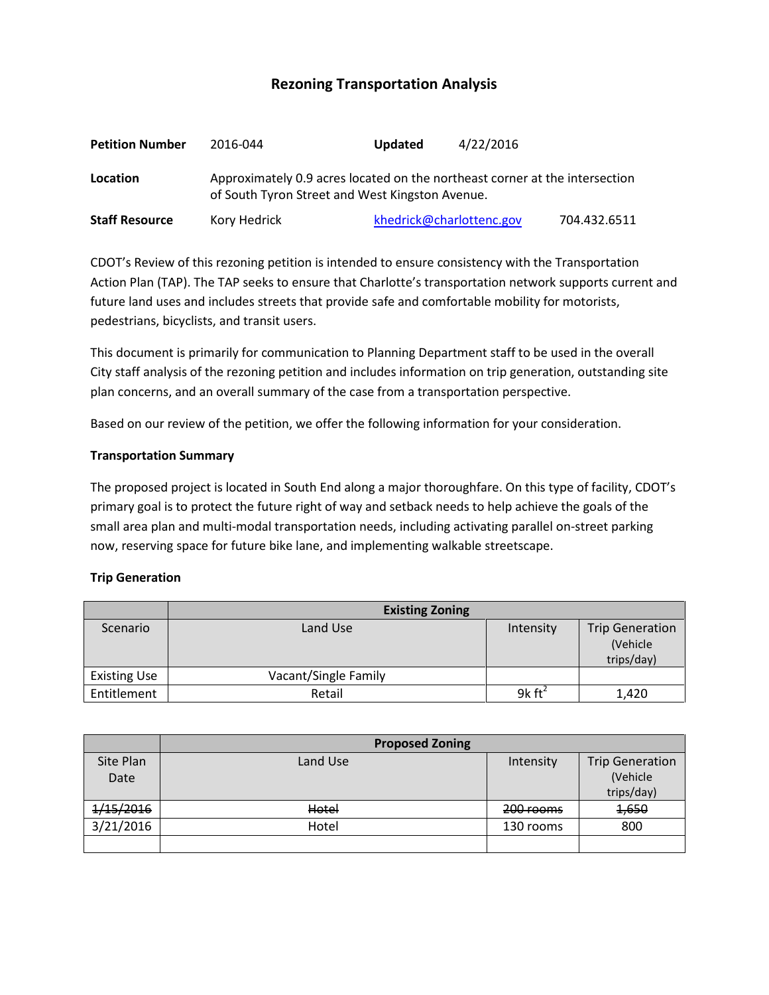# **Rezoning Transportation Analysis**

| <b>Petition Number</b> | 2016-044                                                                                                                       | <b>Updated</b>           | 4/22/2016 |              |  |
|------------------------|--------------------------------------------------------------------------------------------------------------------------------|--------------------------|-----------|--------------|--|
| Location               | Approximately 0.9 acres located on the northeast corner at the intersection<br>of South Tyron Street and West Kingston Avenue. |                          |           |              |  |
| <b>Staff Resource</b>  | Kory Hedrick                                                                                                                   | khedrick@charlottenc.gov |           | 704.432.6511 |  |

CDOT's Review of this rezoning petition is intended to ensure consistency with the Transportation Action Plan (TAP). The TAP seeks to ensure that Charlotte's transportation network supports current and future land uses and includes streets that provide safe and comfortable mobility for motorists, pedestrians, bicyclists, and transit users.

This document is primarily for communication to Planning Department staff to be used in the overall City staff analysis of the rezoning petition and includes information on trip generation, outstanding site plan concerns, and an overall summary of the case from a transportation perspective.

Based on our review of the petition, we offer the following information for your consideration.

#### **Transportation Summary**

The proposed project is located in South End along a major thoroughfare. On this type of facility, CDOT's primary goal is to protect the future right of way and setback needs to help achieve the goals of the small area plan and multi-modal transportation needs, including activating parallel on-street parking now, reserving space for future bike lane, and implementing walkable streetscape.

#### **Trip Generation**

|                     | <b>Existing Zoning</b> |                    |                                                  |
|---------------------|------------------------|--------------------|--------------------------------------------------|
| Scenario            | Land Use               | Intensity          | <b>Trip Generation</b><br>(Vehicle<br>trips/day) |
| <b>Existing Use</b> | Vacant/Single Family   |                    |                                                  |
| Entitlement         | Retail                 | 9 $k \text{ ft}^2$ | 1,420                                            |

|           | <b>Proposed Zoning</b> |           |                        |
|-----------|------------------------|-----------|------------------------|
| Site Plan | Land Use               | Intensity | <b>Trip Generation</b> |
| Date      |                        |           | (Vehicle               |
|           |                        |           | trips/day)             |
| 1/15/2016 | Hotel                  | 200 rooms | 1,650                  |
| 3/21/2016 | Hotel                  | 130 rooms | 800                    |
|           |                        |           |                        |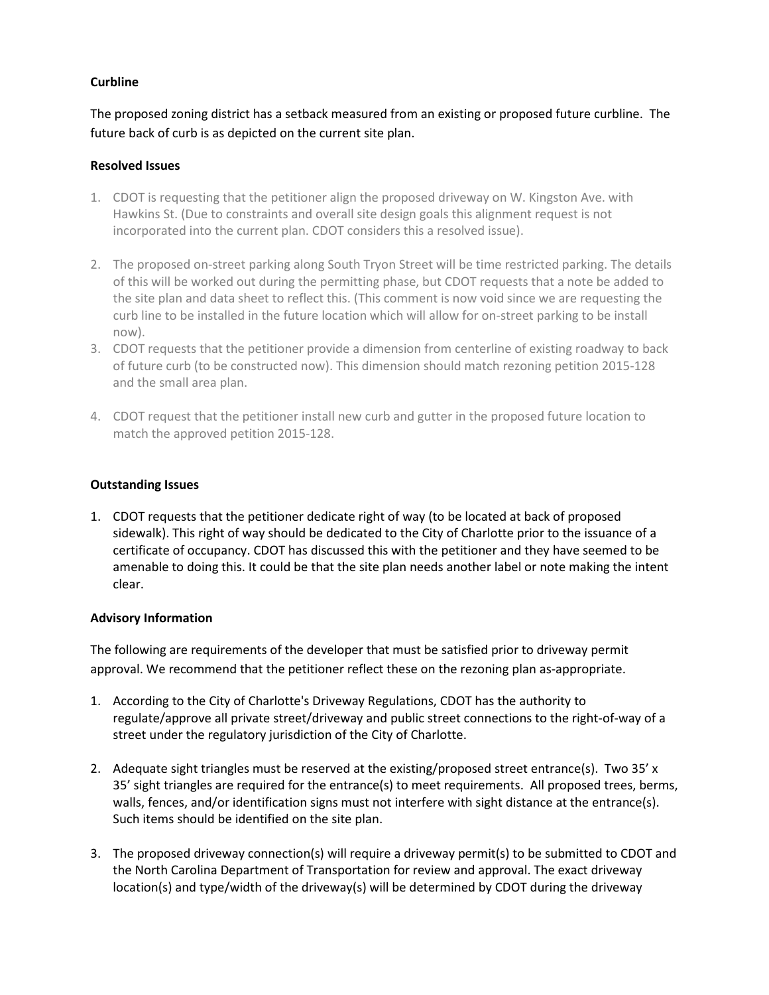# **Curbline**

The proposed zoning district has a setback measured from an existing or proposed future curbline. The future back of curb is as depicted on the current site plan.

# **Resolved Issues**

- 1. CDOT is requesting that the petitioner align the proposed driveway on W. Kingston Ave. with Hawkins St. (Due to constraints and overall site design goals this alignment request is not incorporated into the current plan. CDOT considers this a resolved issue).
- 2. The proposed on-street parking along South Tryon Street will be time restricted parking. The details of this will be worked out during the permitting phase, but CDOT requests that a note be added to the site plan and data sheet to reflect this. (This comment is now void since we are requesting the curb line to be installed in the future location which will allow for on-street parking to be install now).
- 3. CDOT requests that the petitioner provide a dimension from centerline of existing roadway to back of future curb (to be constructed now). This dimension should match rezoning petition 2015-128 and the small area plan.
- 4. CDOT request that the petitioner install new curb and gutter in the proposed future location to match the approved petition 2015-128.

# **Outstanding Issues**

1. CDOT requests that the petitioner dedicate right of way (to be located at back of proposed sidewalk). This right of way should be dedicated to the City of Charlotte prior to the issuance of a certificate of occupancy. CDOT has discussed this with the petitioner and they have seemed to be amenable to doing this. It could be that the site plan needs another label or note making the intent clear.

#### **Advisory Information**

The following are requirements of the developer that must be satisfied prior to driveway permit approval. We recommend that the petitioner reflect these on the rezoning plan as-appropriate.

- 1. According to the City of Charlotte's Driveway Regulations, CDOT has the authority to regulate/approve all private street/driveway and public street connections to the right-of-way of a street under the regulatory jurisdiction of the City of Charlotte.
- 2. Adequate sight triangles must be reserved at the existing/proposed street entrance(s). Two 35' x 35' sight triangles are required for the entrance(s) to meet requirements. All proposed trees, berms, walls, fences, and/or identification signs must not interfere with sight distance at the entrance(s). Such items should be identified on the site plan.
- 3. The proposed driveway connection(s) will require a driveway permit(s) to be submitted to CDOT and the North Carolina Department of Transportation for review and approval. The exact driveway location(s) and type/width of the driveway(s) will be determined by CDOT during the driveway